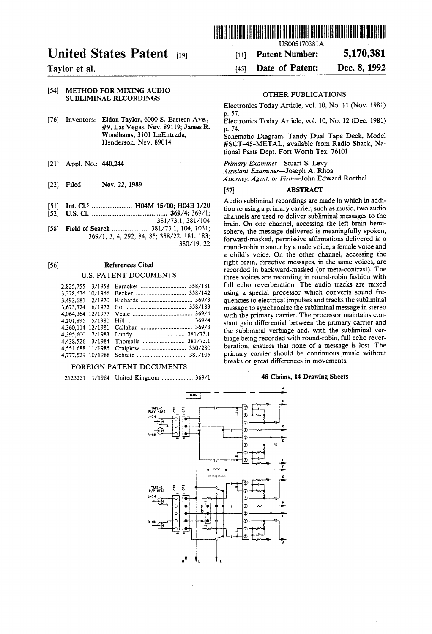

# United States Patent (19)

## Taylor et al.

#### 54) METHOD FOR MIXING AUDIO SUBLIMINAL RECORDINGS

- 76) Inventors: Eldon Taylor, 6000 S. Eastern Ave., #9, Las Vegas, Nev. 89119; James R. Woodhams, 3101 LaEntrada, Henderson, Nev. 89014
- (21) Appl. No.: 440,244
- [22] Filed: Nov. 22, 1989
- انی آ Int. Cl.<sup>5</sup> ........................ H04M 15/00; H04B 1/20
- (52) U.S. Cl. ........................................... 369/4; 369/1; 381/73.1; 381/104
- (58) Field of Search ..................... 381/73.1, 104, 1031; 369/1, 3, 4, 292, 84, 85; 358/22, 181, 183; 380/19, 22

#### 56) References Cited

#### U.S. PATENT DOCUMENTS

| 2.825.755 3/1958  | Baracket  358/181  |
|-------------------|--------------------|
| 3.278.676 10/1966 |                    |
| 3.493.681 2/1970  |                    |
| 3.673.324 6/1972  |                    |
| 4.064.364 12/1977 |                    |
| 4.201.895 5/1980  |                    |
| 4.360.114 12/1981 |                    |
| 4.395.600 7/1983  |                    |
| 4.438.526 3/1984  | Thomalla  381/73.1 |
| 4.551.688 11/1985 | Craiglow  330/280  |
| 4.777.529 10/1988 |                    |
|                   |                    |

### FOREIGN PATENT DOCUMENTS

### 2123251 1/1984 United Kingdom .................... 369/1

### OTHER PUBLICATIONS

45) Date of Patent: Dec. 8, 1992

Electronics Today Article, vol. 10, No. 11 (Nov. 1981) p. 57.

Electronics Today Article, vol. 10, No. 12 (Dec. 1981) p. 74.

Schematic Diagram, Tandy Dual Tape Deck, Model #SCT-45-METAL, available from Radio Shack, Na tional Parts Dept. Fort Worth Tex. 76101.

Primary Examiner-Stuart S. Levy<br>Assistant Examiner-Joseph A. Rhoa

1111 Patent Number:

Attorney, Agent, or Firm-John Edward Roethel

#### [57] **ABSTRACT**

Audio subliminal recordings are made in which in addi tion to using a primary carrier, such as music, two audio channels are used to deliver subliminal messages to the brain. On one channel, accessing the left brain hemi sphere, the message delivered is meaningfully spoken, forward-masked, permissive affirmations delivered in a round-robin manner by a male voice, a female voice and a child's voice. On the other channel, accessing the right brain, directive messages, in the same voices, are recorded in backward-masked (or meta-contrast). The three voices are recording in round-robin fashion with full echo reverberation. The audio tracks are mixed using a special processor which converts sound fre quencies to electrical impulses and tracks the subliminal message to synchronize the subliminal message in stereo with the primary carrier. The processor maintains con stant gain differential between the primary carrier and the subliminal verbiage and, with the subliminal ver biage being recorded with round-robin, full echo rever beration, ensures that none of a message is lost. The primary carrier should be continuous music without breaks or great differences in movements.

#### 48 Claims, 14 Drawing Sheets

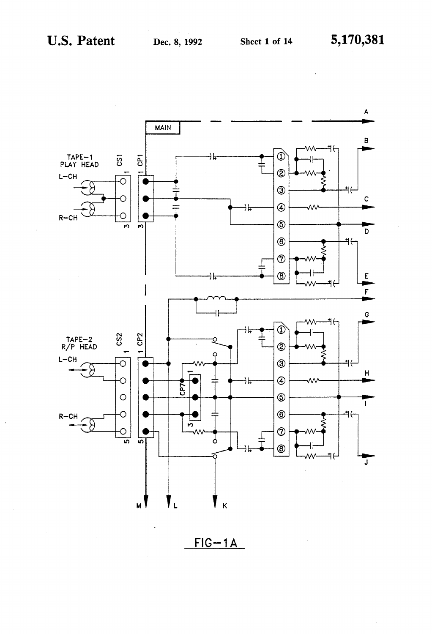

 $FIG-1A$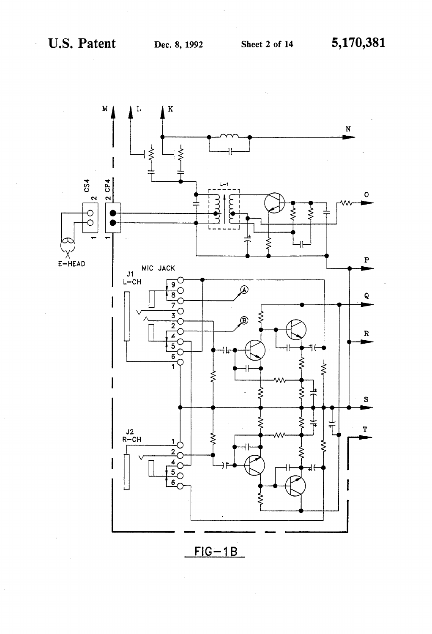

 $FIG-1B$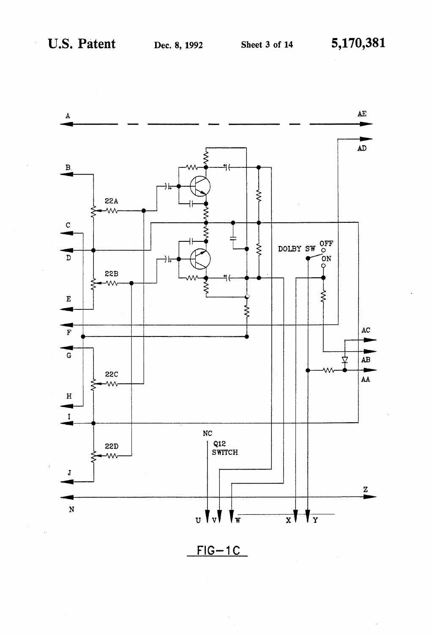J.



 $FIG-1C$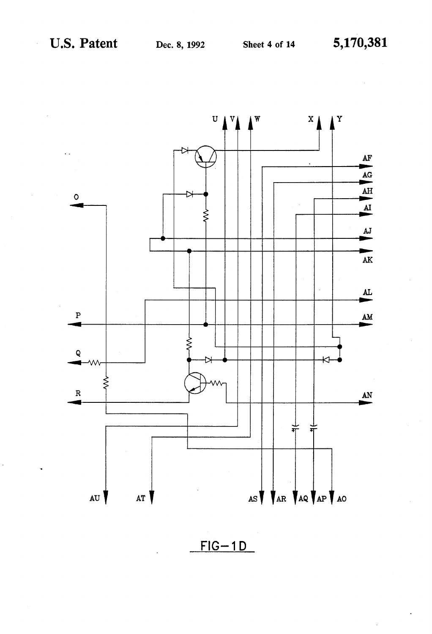$\ddot{\phantom{a}}$ 



 $FIG-1D$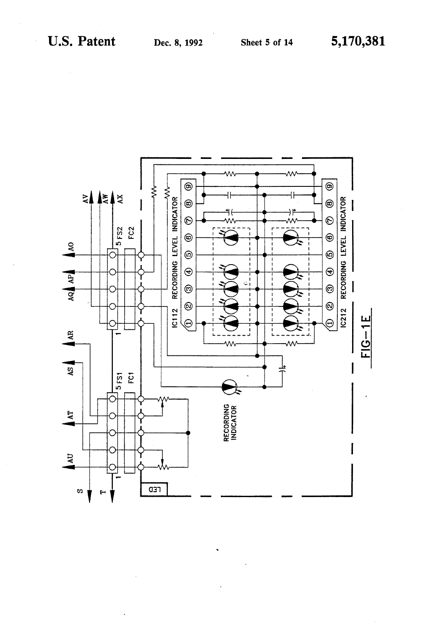

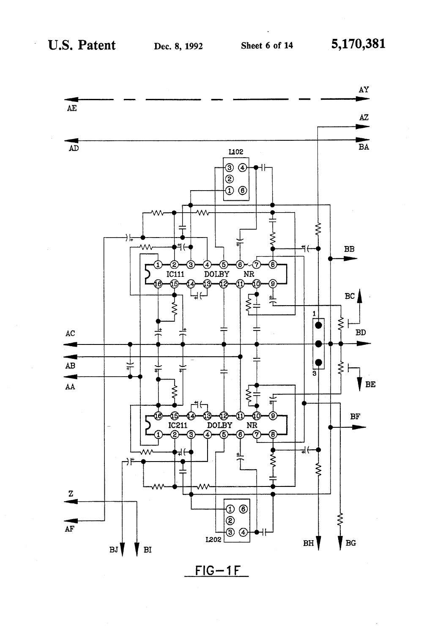

 $FIG-1F$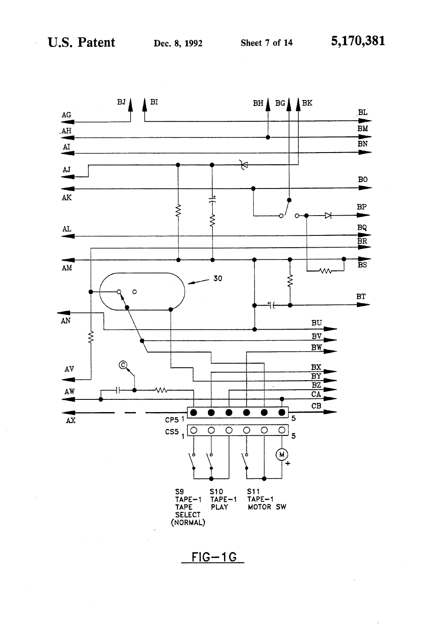J.



 $FIG-1 G$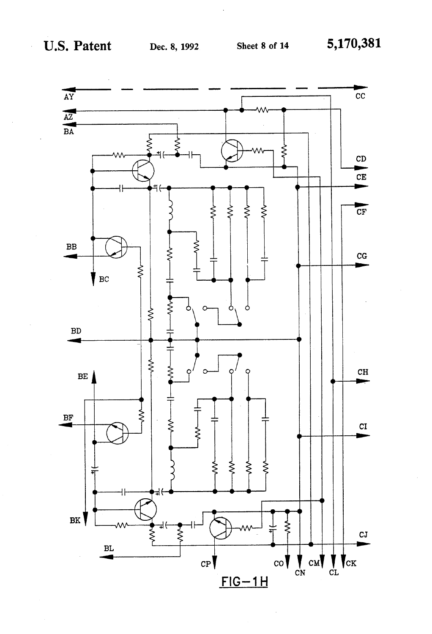$\bar{z}$ 

Sheet 8 of 14

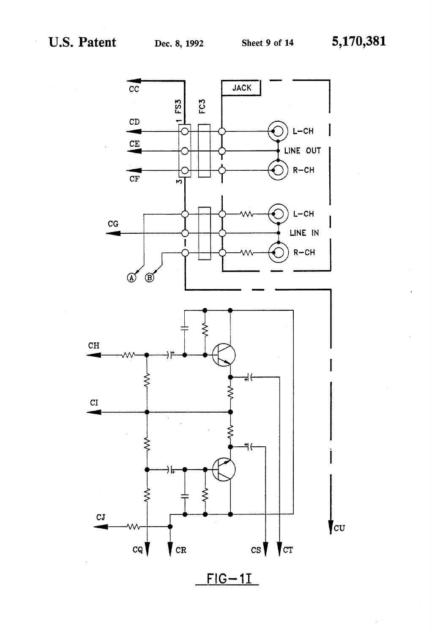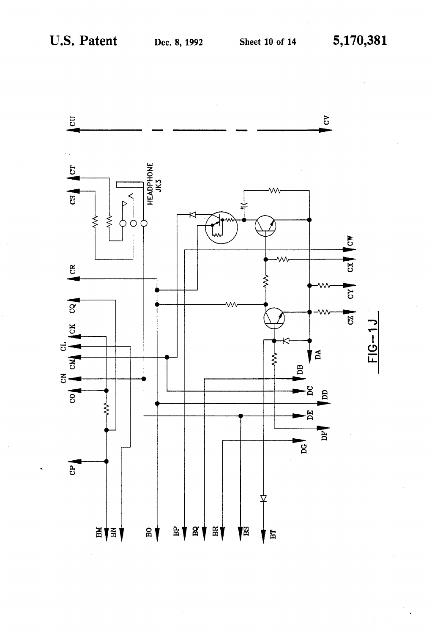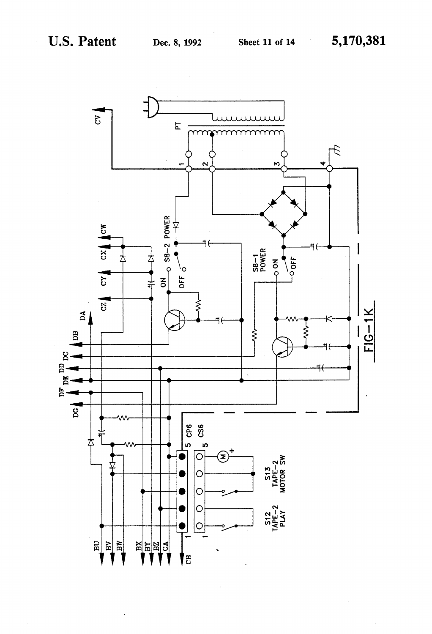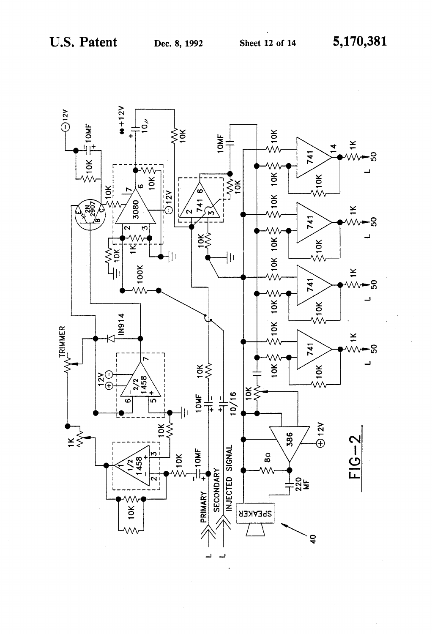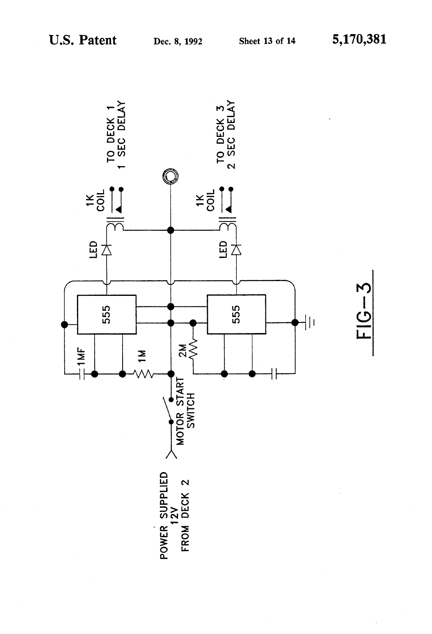

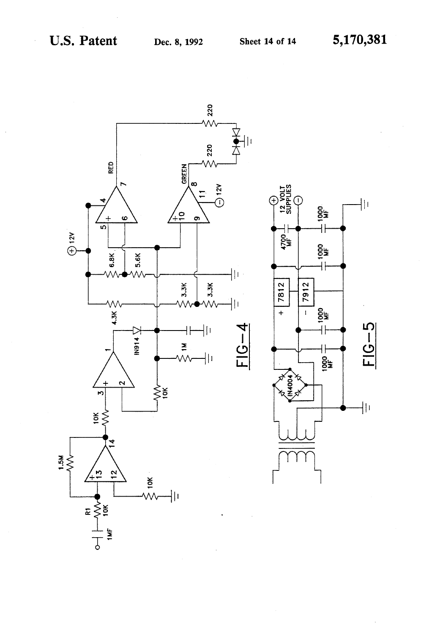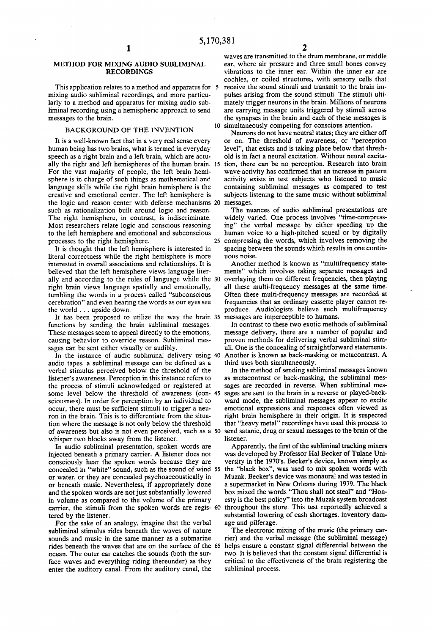#### METHOD FOR MIXING AUDIO SUBLIMINAL RECORDINGS

I his application relates to a method and apparatus for 5 mixing audio subliminal recordings, and more particularly to a method and apparatus for mixing audio subliminal recording using a hemispheric approach to send messages to the brain.

## BACKGROUND OF THE INVENTION

It is a well-known fact that in a very real sense every human being has two brains, what is termed in everyday speech as a right brain and a left brain, which are actu ally the right and left hemispheres of the human brain. 15 For the vast majority of people, the left brain hemi sphere is in charge of such things as mathematical and language skills while the right brain hemisphere is the creative and emotional center. The left hemisphere is the logic and reason center with defense mechanisms 20 such as rationalization built around logic and reason. The right hemisphere, in contrast, is indiscriminate. Most researchers relate logic and conscious reasoning to the left hemisphere and emotional and subconscious processes to the right hemisphere.

It is thought that the left hemisphere is interested in literal correctness while the right hemisphere is more interested in overall associations and relationships. It is believed that the left hemisphere views language liter ally and according to the rules of language while the 30 right brain views language spatially and emotionally, tumbling the words in a process called "subconscious cerebration' and even hearing the words as our eyes see the world . . . upside down.

It has been proposed to utilize the way the brain 35 functions by sending the brain subliminal messages. These messages seem to appeal directly to the emotions, causing behavior to override reason. Subliminal mes sages can be sent either visually or audibly.

audio tapes, a subliminal message can be defined as a verbal stimulus perceived below the threshold of the listener's awareness. Perception in this instance refers to the process of stimuli acknowledged or registered at sciousness). In order for perception by an individual to occur, there must be sufficient stimuli to trigger a neu ron in the brain. This is to differentiate from the situa tion where the message is not only below the threshold of awareness but also is not even perceived, such as a 50 whisper two blocks away from the listener. In the instance of audio subliminal delivery using 40 some level below the threshold of awareness (con-45 sages are sent to the brain in a reverse or played-back-

In audio subliminal presentation, spoken words are injected beneath a primary carrier. A listener does not consciously hear the spoken words because they are or water, or they are concealed psychoaccoustically in or beneath music. Nevertheless, if appropriately done and the spoken words are not just substantially lowered<br>in volume as compared to the volume of the primary carrier, the stimuli from the spoken words are regis- 60 tered by the listener.

For the sake of an analogy, imagine that the verbal subliminal stimulus rides beneath the waves of nature sounds and music in the same manner as a submarine rides beneath the waves that are on the surface of the 65 ocean. The outer ear catches the sounds (both the sur face waves and everything riding thereunder) as they enter the auditory canal. From the auditory canal, the

O simultaneously competing for conscious attention. waves are transmitted to the drum membrane, or middle ear. where air pressure and three small bones convey vibrations to the inner ear. Within the inner ear are cochlea, or coiled structures, with sensory cells that receive the sound stimuli and transmit to the brain im pulses arising from the sound stimuli. The stimuli ulti mately trigger neurons in the brain. Millions of neurons are carrying message units triggered by stimuli across the synapses in the brain and each of these messages is

Neurons do not have neutral states; they are either off or on. The threshold of awareness, or "perception level", that exists and is taking place below that threshold is in fact a neural excitation. Without neural excita tion, there can be no perception. Research into brain wave activity has confirmed that an increase in pattern activity exists in test subjects who listened to music containing subliminal messages as compared to test subjects listening to the same music without subliminal messages.

25 human voice to a high-pitched squeal or by digitally compressing the words, which involves removing the The nuances of audio subliminal presentations are widely varied. One process involves "time-compressing" the verbal message by either speeding up the human voice to a high-pitched squeal or by digitally spacing between the sounds which results in one contin uous noise.

Another method is known as "multifrequency state ments" which involves taking separate messages and overlaying them on different frequencies, then playing all these multi-frequency messages at the same time. Often these multi-frequency messages are recorded at frequencies that an ordinary cassette player cannot re produce. Audiologists believe such multifrequency messages are imperceptible to humans.

In contrast to these two exotic methods of subliminal message delivery, there are a number of popular and proven methods for delivering verbal subliminal stin uli. One is the concealing of straightforward statements. Another is known as back-masking or metacontrast. A third uses both simultaneously.

In the method of sending subliminal messages known as metacontrast or back-masking, the subliminal mes sages are recorded in reverse. When subliminal mes ward mode, the subliminal messages appear to excite emotional expressions and responses often viewed as right brain hemisphere in their origin. It is suspected that "heavy metal" recordings have used this process to send satanic, drug or sexual messages to the brain of the listener.

concealed in "white' sound, such as the sound of wind 55 the "black box', was used to mix spoken words with Apparently, the first of the subliminal tracking mixers was developed by Professor Hal Becker of Tulane Uni versity in the 1970's. Becker's device, known simply as Muzak. Becker's device was monaural and was tested in a supermarket in New Orleans during 1979. The black box mixed the words "Thou shall not steal' and "Hon esty is the best policy' into the Muzak system broadcast throughout the store. This test reportedly achieved a substantial lowering of cash shortages, inventory dam age and pilferage.

The electronic mixing of the music (the primary carrier) and the verbal message (the subliminal message) helps ensure a constant signal differential between the two. It is believed that the constant signal differential is critical to the effectiveness of the brain registering the subliminal process.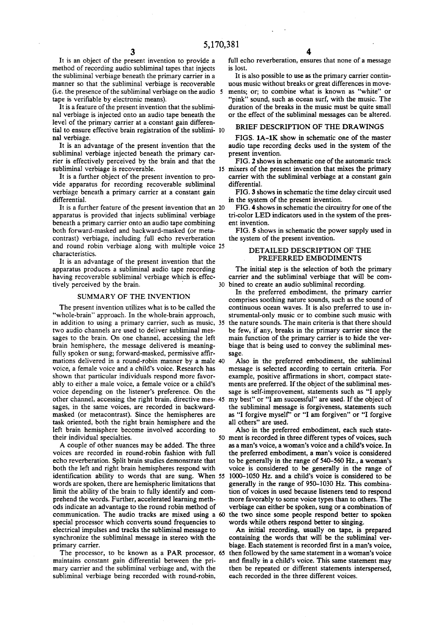It is an object of the present invention to provide a method of recording audio subliminal tapes that injects the subliminal verbiage beneath the primary carrier in a manner so that the subliminal verbiage is recoverable (i.e. the presence of the subliminal verbiage on the audio 5 tape is verifiable by electronic means).

It is a feature of the present invention that the subliminal verbiage is injected onto an audio tape beneath the level of the primary carrier at a constant gain differential to ensure effective brain registration of the sublimi- 10 nal verbiage.

It is an advantage of the present invention that the subliminal verbiage injected beneath the primary carrier is effectively perceived by the brain and that the subliminal verbiage is recoverable.

It is a further object of the present invention to provide apparatus for recording recoverable subliminal verbiage beneath a primary carrier at a constant gain differential.

It is a further feature of the present invention that an 20 apparatus is provided that injects subliminal verbiage beneath a primary carrier onto an audio tape combining both forward-masked and backward-masked (or metacontrast) verbiage, including full echo reverberation and round robin verbiage along with multiple voice 25 characteristics.

It is an advantage of the present invention that the apparatus produces a subliminal audio tape recording having recoverable subliminal verbiage which is effectively perceived by the brain.

#### SUMMARY OF THE INVENTION

The present invention utilizes what is to be called the "whole-brain" approach. In the whole-brain approach, in addition to using a primary carrier, such as music, 35 two audio channels are used to deliver subliminal messages to the brain. On one channel, accessing the left brain hemisphere, the message delivered is meaningfully spoken or sung; forward-masked, permissive affirmations delivered in a round-robin manner by a male 40 voice, a female voice and a child's voice. Research has shown that particular individuals respond more favorably to either a male voice, a female voice or a child's voice depending on the listener's preference. On the sages, in the same voices, are recorded in backwardmasked (or metacontrast). Since the hemispheres are task oriented, both the right brain hemisphere and the left brain hemisphere become involved according to their individual specialties.

A couple of other nuances may be added. The three voices are recorded in round-robin fashion with full echo reverberation. Split brain studies demonstrate that both the left and right brain hemispheres respond with identification ability to words that are sung. When 55 1000-1050 Hz, and a child's voice is considered to be words are spoken, there are hemispheric limitations that limit the ability of the brain to fully identify and comprehend the words. Further, accelerated learning methods indicate an advantage to the round robin method of communication. The audio tracks are mixed using a 60 special processor which converts sound frequencies to electrical impulses and tracks the subliminal message to synchronize the subliminal message in stereo with the primary carrier.

The processor, to be known as a PAR processor, 65 maintains constant gain differential between the primary carrier and the subliminal verbiage and, with the subliminal verbiage being recorded with round-robin,

full echo reverberation, ensures that none of a message is lost.

It is also possible to use as the primary carrier continuous music without breaks or great differences in movements; or; to combine what is known as "white" or "pink" sound, such as ocean surf, with the music. The duration of the breaks in the music must be quite small or the effect of the subliminal messages can be altered.

#### BRIEF DESCRIPTION OF THE DRAWINGS

FIGS. 1A-1K show in schematic one of the master audio tape recording decks used in the system of the present invention.

FIG. 2 shows in schematic one of the automatic track 15 mixers of the present invention that mixes the primary carrier with the subliminal verbiage at a constant gain differential.

FIG. 3 shows in schematic the time delay circuit used in the system of the present invention.

FIG. 4 shows in schematic the circuitry for one of the tri-color LED indicators used in the system of the present invention.

FIG. 5 shows in schematic the power supply used in the system of the present invention.

#### DETAILED DESCRIPTION OF THE PREFERRED EMBODIMENTS

The initial step is the selection of both the primary carrier and the subliminal verbiage that will be com-30 bined to create an audio subliminal recording.

In the preferred embodiment, the primary carrier comprises soothing nature sounds, such as the sound of continuous ocean waves. It is also preferred to use instrumental-only music or to combine such music with the nature sounds. The main criteria is that there should be few, if any, breaks in the primary carrier since the main function of the primary carrier is to hide the verbiage that is being used to convey the subliminal message.

Also in the preferred embodiment, the subliminal message is selected according to certain criteria. For example, positive affirmations in short, compact statements are preferred. If the object of the subliminal message is self-improvement, statements such as "I apply other channel, accessing the right brain, directive mes- 45 my best" or "I am successful" are used. If the object of the subliminal message is forgiveness, statements such as "I forgive myself" or "I am forgiven" or "I forgive all others" are used.

Also in the preferred embodiment, each such state-50 ment is recorded in three different types of voices, such as a man's voice, a woman's voice and a child's voice. In the preferred embodiment, a man's voice is considered to be generally in the range of 540-560 Hz., a woman's voice is considered to be generally in the range of generally in the range of 950-1030 Hz. This combination of voices in used because listeners tend to respond more favorably to some voice types than to others. The verbiage can either be spoken, sung or a combination of the two since some people respond better to spoken words while others respond better to singing.

An initial recording, usually on tape, is prepared containing the words that will be the subliminal verbiage. Each statement is recorded first in a man's voice, then followed by the same statement in a woman's voice and finally in a child's voice. This same statement may then be repeated or different statements interspersed. each recorded in the three different voices.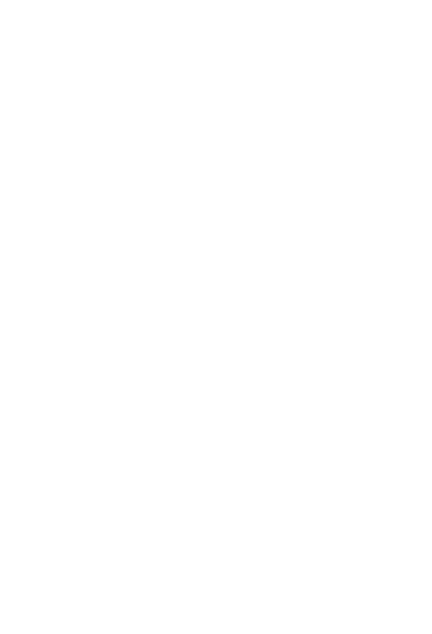The initial verbiage that will eventually become the subliminal message on the resulting recording is inputted using the audio mixing device shown in FIG. 2. In the mixing device, the signals from two play heads are played on a first play device, referred to for conve- 5 nience as Deck  $#2$ , and sent through the mixer for further processing. Each play head is loaded with a prerecorded tape having the same verbiage. One of the play heads plays the verbiage in forward play, which will become for example the left channel of the resulting 10 recording, and this verbiage functions as the forwardmasked subliminal verbiage in the resulting recording. The other play head plays the verbiage in backward mode which will become the right channel of the resulting recording, and this verbiage is sent through the 15 system for further processing in this backward mode (or metacontrast). When these channels are ultimately recombined, the resulting recording has the same message in both forward and backward mode, but on different channels of the tape. 20

In addition to this combined forward and backward mixing, three separate play devices may be used—referred to for convenience as Deck #2, Deck #1 and Deck #3. Deck #1 plays the same verbiage as Deck #2, but with a one second time delay. Deck #3 plays the 25 same verbiage as Deck  $#2$ , but with a two second time delay. All three decks play the same verbiage both in forward and backward mode. When the signals are combined in the mixer, the result is a round robin effect of the verbiage due to the one and two second time 30 delays of the three decks playing the verbiage.

The left channel of verbiage is all in forward mode and the right channel of the verbiage is in backward or metacontrast mode. Whether forward or backward, each channel has the same message in round robin effect 35 with repeating man, woman and child voices. If desired, full echo reverberation can be electronically added to each channel to prolong the reinforcement of the message contained in the verbiage.

This subliminal message in two channels-the left 40 channel in forward mode and the right channel in backward mode-is then mixed individually with the primary carrier to effect the masking of the subliminal message. The mixing of the subliminal message with the primary carrier is done using the circuitry shown sche- 45 matically in FIG. 2.

As shown in FIG. 2, the signal from the primary carrier is first sampled for its gain level. By using a variable resistor, the gain level of the primary signal is sampled and the subliminal message signal that is to be 50 injected into the primary carrier is adjusted or varied to be a constant gain differential from the gain level of the primary carrier. In the preferred embodiment, this gain differential is set so that the primary carrier is generally within no more than 20 Db above the gain level of the 55 secondary verbiage or subliminal message signal. In the most preferred embodiment the gain differential is set so that the primary carrier is approximately between 3 Db and 5 Db above the gain level of the secondary verbiage or subliminal message signal. 60

The adjusted primary carrier signal and the subliminal message signal are then combined and distributed through any suitable distribution means, such as an audio speaker or through distribution preamplifiers for ultimate recording on an audio tape recording device or 65 other suitable recording means as shown in FIG. 2.

FIGS. 1A-1K shows in schematic the dual tape deck used in the system of the present invention. This tape

deck is a modification of a dual tape deck made by the Tandy Corporation, National Parts Dept., Fort Worth, Tex. 76101 and sold as Model # SCT-45-METAL. The Tandy dual tape deck is a conventional tape deck which has been modified to suit the purposes of the present invention.

The operation of the modified dual tape deck of the present invention will now be described in connection with explaining the modifications that have been made to the Tandy dual tape deck. A prerecorded tape containing the desired subliminal messages that will be injected as forward masked secondary signals under the primary signal is placed in Tape-1 Play Head and a prerecorded tape containing the desired subliminal messages that will be injected as backward mode or metacontrast secondary signals under the primary signal is placed in Tape-2 Play Head (both shown in FIG. 1A). The prerecorded tape placed in Tape-2 Play Head has the message originally recorded in forward mask mode and one of the modifications made is to reverse the tape heads on the Tape-2 Play Head so that the prerecorded tape played on this head is played backward to provide the backward masking or metacontrast that is to be injected or placed on the resulting subliminal recording. The signal coming from each channel of Tape-1 Play Head and Tape-2 Play Head is pre-amplified and sent through a variable resistor 22A, 22B, 22C and 22D, respectively (shown in FIG. 1C) for individual gain control. This individual gain control is done manually by the operator using the LED indicator circuitry shown in FIG. 4.

After each signal has been individually adjusted to the proper gain, which in the preferred embodiment is generally within 1 Db of the other signals coming from the other play heads in the tape deck, the signal passes through a Dolby noise reduction circuit shown in FIG. 1F and then pre-amplified for mixing with the primary signal.

One of the other modifications made to the Tandy dual tape deck is that the recording ability of the deck is disabled since the dual tape deck of the present invention is used as a playback unit only. The dubbing capability is also disabled for the same reason. Finally, the tape select switch is modified to become the time delay circuit as will be explained below.

FIG. 2 shows in schematic the automatic track mixer of the present invention that mixes the primary carrier signal with the subliminal verbiage signal at a constant gain differential. As discussed above, the primary signal is soothing nature sounds, such as the sound of continuous ocean waves. It is also preferred to use instrumental-only music or to combine such music with the nature sounds.

As shown in FIG. 2, the primary signal is first continuously sampled to determine its gain level. The secondary signal is continuously combined with the primary signal at a constant gain differential such that the secondary signal is preferably kept generally no more than 20 Db below the gain level of the primary signal and in the most preferred embodiment approximately between 3 Db-5 Db below the level of the primary signal. This prevents the secondary signal from being consciously audible to the listener. The resulting combined signal can then be sent to any one or all of a plurality of output devices such as speakers 40 or through pre-amplifiers 50 for tape recorders (not shown) to make the resulting subliminal audio recording.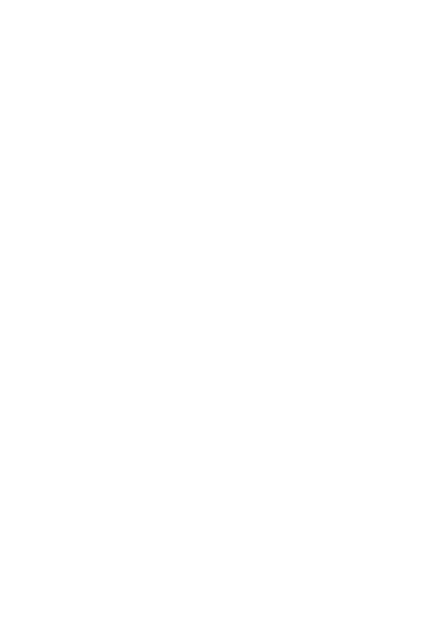As discussed above, in the preferred embodiment, the resulting subliminal audio recording has a channel of forward masked verbiage and a channel of backward masked or metacontrast verbiage. Each channel preferably has three distinct voices-male, female and chil- 5 d—repeating the message in round robin effect with full echo reverberation. As will be described, this is achieved by using various multiples of the apparatus shown in FIGS. 1A-1K and FIG. 2.

Three separate dual tape decks, each of the type 10 shown in FIGS.  $1A-1K$  and identified as Deck #1, Deck  $#2$  and Deck  $#3$ , are electronically connected together. One of these tape decks, for example Deck #2, is provided with the Time Delay Switch Circuit shown in FIG. 3 (and also shown at 30 in FIG. 1G). 15 Each of Deck #1, Deck #2 and Deck #3 are provided with two prerecorded tapes, one placed in Tape-1 Play Head and one placed in Tape-2 Play Head, containing the verbiage that will be injected onto the primary carrier. Each of Deck  $#1$ , Deck  $#2$  and Deck  $#3$  has 20 indicator circuits shown in FIG. 4 since each Deck has one of its tape heads (preferably Tape-2 Play Head) reversed so that one of the verbiage tapes will be injected in backward masked or metacontrast mode.

In addition to the three separate dual tape decks, two separate automatic track mixers are used of the type 25 shown in FIG. 2, identified as the Left Mixer and the Right Mixer, since each mixer handles separately all the left channel outputs and the right channel outputs, respectively, from each tape deck.

loaded into the respective Play Heads, the operator activates the system by closing the Time Delay Switch 30 on Deck  $#2$ . Deck  $#2$  is activated first and functions as described above. The closing of the Time Delay Switch also activates the Time Delay Circuit shown in 35 FIG. 3. This circuit sends power from the Power Supply to Deck  $#1$  on a one second time delay and then sends power from the Power Supply to Deck #3 after another one second time delay. This delay results in the verbiage from Deck #1 and Deck #2 and Deck #3 40 comprising: being injected onto the primary signal in a round robin and full echo reverberation mode-like what a person would hear if he were listening to verbiage being spoken or sung in round robin.

The outputs from Deck #1, Deck #2 and Deck #3 45 are sent to one of the two automatic track mixers-all of the three left channel outputs are sent to the Left Mixer and all of the three right channel outputs are sent to the Right Mixer. These three combined signals, forming the round robin effect, are what is injected as the secondary 50 signal onto the primary carrier as shown in FIG. 2. After the automatic track mixer injects the secondary signal onto the primary carrier maintaining the appropriate decibel spacing (preferably not more than 20 Db below the level of the primary signal and most prefera- 55 bly approximately between 3 Db and 5 Db below the level of the primary carrier), the resulting combined signal is recorded on the appropriate track (left or right) of the resulting subliminal audio recording. This results in the primary signal being recorded in stereo providing 60 bel range is generally not more than 20 Db. a very pleasant recording and one that is easy to listen to

FIG. 4 shows in schematic the circuitry for the tricolor LED indicator used in the system of the present invention. A tri-color LED indicator is attached to each 65 of the variable resistors 22 shown in FIG. 1A. The operator watches the gain level of the signal coming from the play head and manually adjusts the gain level

to set the gain level within the desired decibel range as compared to the other gain levels coming from the other play heads. In the preferred embodiment, the gain levels of the various signals coming from the individual play heads should not vary by more than generally one decibel. Rather than having to watch numerical meters, the tri-color LED indicator circuit will illuminate a green light when the particular play head is within one decibel of the desired reference level. If the gain level falls more than one decibel below the desired reference level, the LED is illuminated with a red light alerting the operator that the gain level is too low so that manual adjustment can be made. Similarly, if the gain level rises more than one decibel above the desired reference level, the LED is illuminated with a yellow light alerting the operator that the gain level is too high so that manual adjustment can be made. In the preferred embodiment having Deck #1, Deck #2 and Deck #3, it will be necessary to have twelve of the tri-color LED four play heads.

FIG. 5 shows in schematic the power supply used in the system of the present invention. In the preferred embodiment, the entire three Deck, two Mixer and twelve tri-color LED indicator circuits are operated from a 120 V AC transformer having a 25 V center top. The transformer and accompanying circuit shown in FIG. 5 provides a 12 V power supply to each of the three decks and the attendant peripheral circuits shown In operation, after all six of the prerecorded tapes are 30 in the other Figures. While the invention has been illustrated with respect to several specific embodiments thereof, these embodiments should be considered as illustrative rather than limiting. Various modifications and additions may be made and will be apparent to those skilled in the art. Accordingly, the invention should not be limited by the foregoing description, but rather should be defined only by the following claims.

What is claimed is:

1. A method of making audio subliminal recordings

a) selecting a sound to be used as a primary carrier,

- b) selecting verbiage to be injected beneath the primary carrier as a subliminal message,
- c) recording a first statement on a first channel in forward masking form and recording a second statement on a second channel in back-masking form.
- d) combining the first statement on the first channel with the second statement on the second channel to create the subliminal message,
- e) mixing the primary carrier sound with the subliminal message to maintain the volume level of the subliminal message within a constant decibel range beneath the volume level of the primary carrier sound.
- f) recording the mixed primary carrier sound and the subliminal message whereby an audio subliminal recording is created.

2. The method of claim 1 wherein the constant deci-

3. The method of claim 1 wherein the constant decibel range is not more than approximately 3 to 5 DB.

4. The method of claim 1 wherein the verbiage comprising the first statement is in the form of a positive affirmation and the verbiage comprising the second statement is in the form of a directive message.

5. The method of claim 4 wherein the forward masking statement is a round robin message.